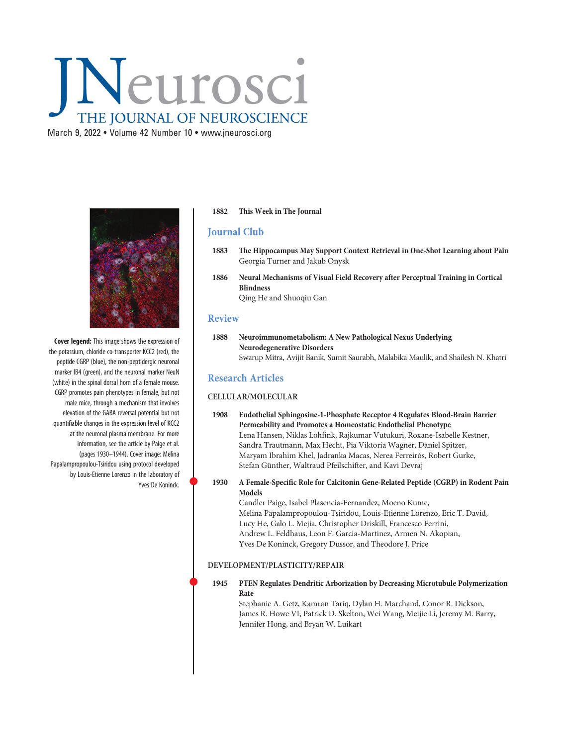# Neurosci THE JOURNAL OF NEUROSCIENCE

March 9, 2022 • Volume 42 Number 10 • [www.jneurosci.org](https://www.jneurosci.org)



Cover legend: This image shows the expression of the potassium, chloride co-transporter KCC2 (red), the peptide CGRP (blue), the non-peptidergic neuronal marker IB4 (green), and the neuronal marker NeuN (white) in the spinal dorsal horn of a female mouse. CGRP promotes pain phenotypes in female, but not male mice, through a mechanism that involves elevation of the GABA reversal potential but not quantifiable changes in the expression level of KCC2 at the neuronal plasma membrane. For more information, see the article by Paige et al. (pages 1930–1944). Cover image: Melina Papalampropoulou-Tsiridou using protocol developed by Louis-Etienne Lorenzo in the laboratory of Yves De Koninck.

### 1882 This Week in The Journal

## Journal Club

- 1883 The Hippocampus May Support Context Retrieval in One-Shot Learning about Pain Georgia Turner and Jakub Onysk
- 1886 Neural Mechanisms of Visual Field Recovery after Perceptual Training in Cortical Blindness Qing He and Shuoqiu Gan

## Review

1888 Neuroimmunometabolism: A New Pathological Nexus Underlying Neurodegenerative Disorders Swarup Mitra, Avijit Banik, Sumit Saurabh, Malabika Maulik, and Shailesh N. Khatri

## Research Articles

### CELLULAR/MOLECULAR

- 1908 Endothelial Sphingosine-1-Phosphate Receptor 4 Regulates Blood-Brain Barrier Permeability and Promotes a Homeostatic Endothelial Phenotype Lena Hansen, Niklas Lohfink, Rajkumar Vutukuri, Roxane-Isabelle Kestner, Sandra Trautmann, Max Hecht, Pia Viktoria Wagner, Daniel Spitzer, Maryam Ibrahim Khel, Jadranka Macas, Nerea Ferreirós, Robert Gurke, Stefan Günther, Waltraud Pfeilschifter, and Kavi Devraj
- <sup>1930</sup> A Female-Specific Role for Calcitonin Gene-Related Peptide (CGRP) in Rodent Pain Models

Candler Paige, Isabel Plasencia-Fernandez, Moeno Kume, Melina Papalampropoulou-Tsiridou, Louis-Etienne Lorenzo, Eric T. David, Lucy He, Galo L. Mejia, Christopher Driskill, Francesco Ferrini, Andrew L. Feldhaus, Leon F. Garcia-Martinez, Armen N. Akopian, Yves De Koninck, Gregory Dussor, and Theodore J. Price

### DEVELOPMENT/PLASTICITY/REPAIR

 <sup>1945</sup> PTEN Regulates Dendritic Arborization by Decreasing Microtubule Polymerization Rate

Stephanie A. Getz, Kamran Tariq, Dylan H. Marchand, Conor R. Dickson, James R. Howe VI, Patrick D. Skelton, Wei Wang, Meijie Li, Jeremy M. Barry, Jennifer Hong, and Bryan W. Luikart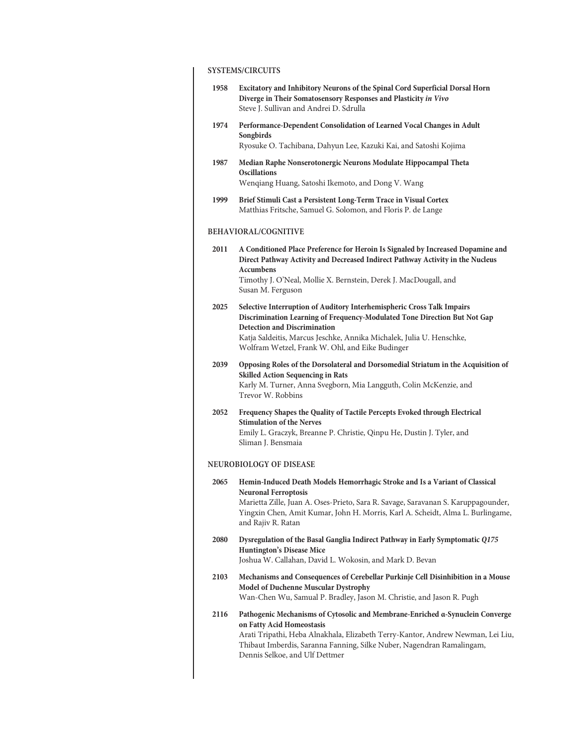# SYSTEMS/CIRCUITS

| Excitatory and Inhibitory Neurons of the Spinal Cord Superficial Dorsal Horn<br>Diverge in Their Somatosensory Responses and Plasticity in Vivo<br>Steve J. Sullivan and Andrei D. Sdrulla                                                                                                                            |
|-----------------------------------------------------------------------------------------------------------------------------------------------------------------------------------------------------------------------------------------------------------------------------------------------------------------------|
| Performance-Dependent Consolidation of Learned Vocal Changes in Adult<br>Songbirds<br>Ryosuke O. Tachibana, Dahyun Lee, Kazuki Kai, and Satoshi Kojima                                                                                                                                                                |
| Median Raphe Nonserotonergic Neurons Modulate Hippocampal Theta<br><b>Oscillations</b><br>Wenqiang Huang, Satoshi Ikemoto, and Dong V. Wang                                                                                                                                                                           |
| Brief Stimuli Cast a Persistent Long-Term Trace in Visual Cortex<br>Matthias Fritsche, Samuel G. Solomon, and Floris P. de Lange                                                                                                                                                                                      |
| <b>BEHAVIORAL/COGNITIVE</b>                                                                                                                                                                                                                                                                                           |
| A Conditioned Place Preference for Heroin Is Signaled by Increased Dopamine and<br>Direct Pathway Activity and Decreased Indirect Pathway Activity in the Nucleus<br><b>Accumbens</b><br>Timothy J. O'Neal, Mollie X. Bernstein, Derek J. MacDougall, and<br>Susan M. Ferguson                                        |
| Selective Interruption of Auditory Interhemispheric Cross Talk Impairs<br>Discrimination Learning of Frequency-Modulated Tone Direction But Not Gap<br><b>Detection and Discrimination</b><br>Katja Saldeitis, Marcus Jeschke, Annika Michalek, Julia U. Henschke,<br>Wolfram Wetzel, Frank W. Ohl, and Eike Budinger |
| Opposing Roles of the Dorsolateral and Dorsomedial Striatum in the Acquisition of<br><b>Skilled Action Sequencing in Rats</b><br>Karly M. Turner, Anna Svegborn, Mia Langguth, Colin McKenzie, and<br>Trevor W. Robbins                                                                                               |
| Frequency Shapes the Quality of Tactile Percepts Evoked through Electrical<br><b>Stimulation of the Nerves</b><br>Emily L. Graczyk, Breanne P. Christie, Qinpu He, Dustin J. Tyler, and<br>Sliman J. Bensmaia                                                                                                         |
| <b>NEUROBIOLOGY OF DISEASE</b>                                                                                                                                                                                                                                                                                        |
| Hemin-Induced Death Models Hemorrhagic Stroke and Is a Variant of Classical<br><b>Neuronal Ferroptosis</b><br>Marietta Zille, Juan A. Oses-Prieto, Sara R. Savage, Saravanan S. Karuppagounder,<br>Yingxin Chen, Amit Kumar, John H. Morris, Karl A. Scheidt, Alma L. Burlingame,<br>and Rajiv R. Ratan               |
| Dysregulation of the Basal Ganglia Indirect Pathway in Early Symptomatic Q175<br><b>Huntington's Disease Mice</b><br>Joshua W. Callahan, David L. Wokosin, and Mark D. Bevan                                                                                                                                          |
| Mechanisms and Consequences of Cerebellar Purkinje Cell Disinhibition in a Mouse<br><b>Model of Duchenne Muscular Dystrophy</b><br>Wan-Chen Wu, Samual P. Bradley, Jason M. Christie, and Jason R. Pugh                                                                                                               |
| Pathogenic Mechanisms of Cytosolic and Membrane-Enriched a-Synuclein Converge<br>on Fatty Acid Homeostasis<br>Arati Tripathi, Heba Alnakhala, Elizabeth Terry-Kantor, Andrew Newman, Lei Liu,<br>Thibaut Imberdis, Saranna Fanning, Silke Nuber, Nagendran Ramalingam,<br>Dennis Selkoe, and Ulf Dettmer              |
|                                                                                                                                                                                                                                                                                                                       |